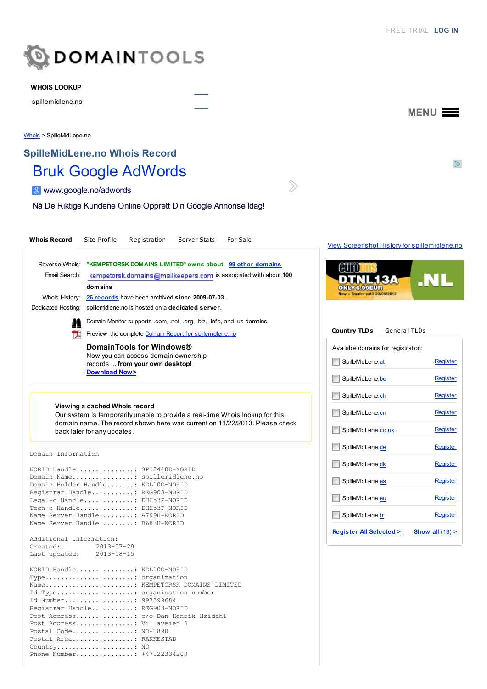

#### WHOIS LOOKUP

spillemidlene.no

[Whois](http://whois.domaintools.com/) > SpilleMidLene.no

# SpilleMidLene.no Whois Record Bruk Google [AdWords](http://www.googleadservices.com/pagead/aclk?sa=L&ai=C_-Flxc-qUpOUFo20yQPvnIG4BZeB6OYEj7qJuXSl3fyMARABIMj4iwlQobykpgdgw9ykhZgYoAHBgNb8A8gBAagDAcgDwwSqBIcBT9ATAXn6zPoLlFZtC5l2HSP6SaTsAZEuV0F5t0FvNZnu_vIXdz5cYGkmCNCfupcoNesjfdJDTF1LpDdVpWU4sTSAQa5rzEqbJOr6dIkwfTwdvzuaiQjZD6SV1rercOQKCUDu218NPzfjhdJz1IpMINAF7GwpDcPWJxzE-ej-M30jMubC_xLliAYBgAen_6kD&num=1&cid=5GjV9oxrnz290nUQYuMAaS5i&sig=AOD64_3IRNn8FXW-RKL43cOXopOs4f6odQ&client=ca-pub-1786816058072790&adurl=http://www.google.no/adwords/coupons/%23sourceid%3Dawo%26subid%3Dno-no-gdn-aw-ptxt)

8 [www.google.no/adwords](http://www.googleadservices.com/pagead/aclk?sa=L&ai=C_-Flxc-qUpOUFo20yQPvnIG4BZeB6OYEj7qJuXSl3fyMARABIMj4iwlQobykpgdgw9ykhZgYoAHBgNb8A8gBAagDAcgDwwSqBIcBT9ATAXn6zPoLlFZtC5l2HSP6SaTsAZEuV0F5t0FvNZnu_vIXdz5cYGkmCNCfupcoNesjfdJDTF1LpDdVpWU4sTSAQa5rzEqbJOr6dIkwfTwdvzuaiQjZD6SV1rercOQKCUDu218NPzfjhdJz1IpMINAF7GwpDcPWJxzE-ej-M30jMubC_xLliAYBgAen_6kD&num=1&cid=5GjV9oxrnz290nUQYuMAaS5i&sig=AOD64_3IRNn8FXW-RKL43cOXopOs4f6odQ&client=ca-pub-1786816058072790&adurl=http://www.google.no/adwords/coupons/%23sourceid%3Dawo%26subid%3Dno-no-gdn-aw-ptxt)

Nå De Riktige Kundene Online Opprett Din Google Annonse Idag!

| <b>Whois Record</b>                                  | Site Profile<br>Registration<br>Server Stats<br>For Sale                                                                                                                                                                                                                                                                                         | <b>View Screenshot History for</b>                                              |
|------------------------------------------------------|--------------------------------------------------------------------------------------------------------------------------------------------------------------------------------------------------------------------------------------------------------------------------------------------------------------------------------------------------|---------------------------------------------------------------------------------|
| Email Search:                                        | Reverse Whois: "KEMPETORSK DOMAINS LIMITED" owns about 99 other domains<br>kempetersk.domains@mailkeepers.com is associated with about 100<br>domains                                                                                                                                                                                            | H<br>New + Tranfer until 30/06/2013                                             |
|                                                      | Whois History: 26 records have been archived since 2009-07-03.<br>Dedicated Hosting: spillemidlene.no is hosted on a dedicated server.                                                                                                                                                                                                           |                                                                                 |
|                                                      | Domain Monitor supports .com, .net, .org, .biz, .info, and .us domains                                                                                                                                                                                                                                                                           |                                                                                 |
| T.                                                   | Preview the complete Domain Report for spillemidlene.no                                                                                                                                                                                                                                                                                          | <b>Country TLDs</b><br>Genera                                                   |
|                                                      | DomainTools for Windows®<br>Now you can access domain ownership<br>records  from your own desktop!<br><b>Download Now&gt;</b>                                                                                                                                                                                                                    | Available domains for regist<br>SpilleMidLene.at<br>SpilleMidLene.be            |
|                                                      | Viewing a cached Whois record<br>Our system is temporarily unable to provide a real-time Whois lookup for this<br>domain name. The record shown here was current on 11/22/2013. Please check<br>back later for any updates.                                                                                                                      | SpilleMidLene.ch<br>SpilleMidLene.cn<br>SpilleMidLene.co.uk<br>SpilleMidLene.de |
| Domain Information                                   |                                                                                                                                                                                                                                                                                                                                                  |                                                                                 |
|                                                      | NORID Handle: SPI2440D-NORID<br>Domain Name: spillemidlene.no<br>Domain Holder Handle: KDL100-NORID<br>Registrar Handle: REG903-NORID<br>Legal-c Handle: DHH53P-NORID<br>Tech-c Handle: DHH53P-NORID<br>Name Server Handle: A799H-NORID                                                                                                          | SpilleMidLene.dk<br>SpilleMidLene.es<br>SpilleMidLene.eu<br>SpilleMidLene.fr    |
|                                                      | Name Server Handle: B683H-NORID                                                                                                                                                                                                                                                                                                                  | Register All Selected >                                                         |
| Additional information:<br>Created:<br>Last updated: | $2013 - 07 - 29$<br>$2013 - 08 - 15$                                                                                                                                                                                                                                                                                                             |                                                                                 |
|                                                      | NORID Handle: KDL100-NORID<br>Type organization<br>Name KEMPETORSK DOMAINS LIMITED<br>Id Type: organization number<br>Id Number: 997399684<br>Registrar Handle: REG903-NORID<br>Post Address: c/o Dan Henrik Høidahl<br>Post Address: Villaveien 4<br>Postal Code: NO-1890<br>Postal Area: RAKKESTAD<br>Country NO<br>Phone Number: +47.22334200 |                                                                                 |

#### or [spillemidlene.no](http://www.domaintools.com/research/screenshot-history/spillemidlene.no)

 $\gg$ 



| <b>Country TLDs</b> General TLDs    |                 |                   |  |  |
|-------------------------------------|-----------------|-------------------|--|--|
| Available domains for registration: |                 |                   |  |  |
| SpilleMidLene.at                    | Register        |                   |  |  |
| SpilleMidLene.be                    | Register        |                   |  |  |
| SpilleMidLene.ch                    | Register        |                   |  |  |
| SpilleMidLene.cn                    | Register        |                   |  |  |
| SpilleMidLene.co.uk                 | <b>Register</b> |                   |  |  |
| SpilleMidLene.de                    | Register        |                   |  |  |
| SpilleMidLene.dk                    | Register        |                   |  |  |
| SpilleMidLene.es                    |                 | <b>Register</b>   |  |  |
| SpilleMidLene. <b>eu</b>            |                 | Register          |  |  |
| SpilleMidLene.fr                    |                 | Register          |  |  |
| <b>Register All Selected &gt;</b>   |                 | Show all $(19)$ > |  |  |

MENU $\equiv$ 

 $\mathbb{D}$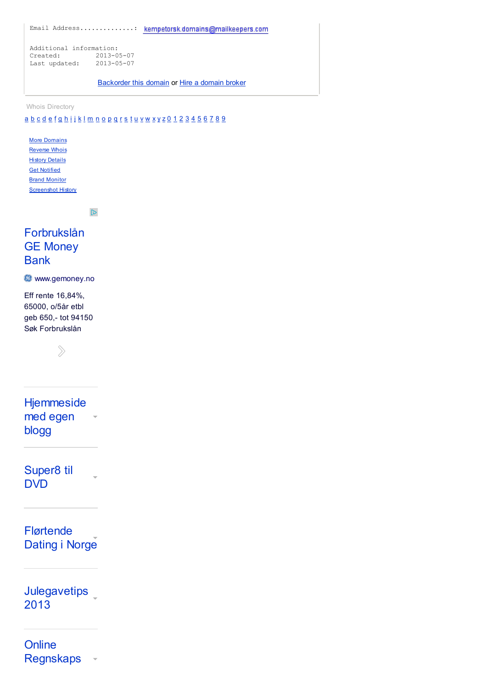Email Address..............:

Additional information: Created: 2013-05-07 Lastupdated: 2013-05-07

[Backorder](http://www.domaintools.com/redirect/broker/spillemidlene.no/?broker_id=8&location=whois-guest&placement=whois-record) this [domain](http://www.domaintools.com/redirect/broker/spillemidlene.no/?location=whois-user&placement=expire-date) or Hire a domain broker

Whois Directory

### [a](http://whois.domaintools.com/browse/a/) [b](http://whois.domaintools.com/browse/b/) [c](http://whois.domaintools.com/browse/c/) [d](http://whois.domaintools.com/browse/d/) [e](http://whois.domaintools.com/browse/e/) [f](http://whois.domaintools.com/browse/f/) [g](http://whois.domaintools.com/browse/g/) [h](http://whois.domaintools.com/browse/h/) [i](http://whois.domaintools.com/browse/i/) [j](http://whois.domaintools.com/browse/j/) [k](http://whois.domaintools.com/browse/k/) [l](http://whois.domaintools.com/browse/l/) [m](http://whois.domaintools.com/browse/m/) [n](http://whois.domaintools.com/browse/n/) [o](http://whois.domaintools.com/browse/o/) [p](http://whois.domaintools.com/browse/p/) [q](http://whois.domaintools.com/browse/q/) [r](http://whois.domaintools.com/browse/r/) [s](http://whois.domaintools.com/browse/s/) [t](http://whois.domaintools.com/browse/t/) [u](http://whois.domaintools.com/browse/u/) [v](http://whois.domaintools.com/browse/v/) [w](http://whois.domaintools.com/browse/w/) [x](http://whois.domaintools.com/browse/x/) [y](http://whois.domaintools.com/browse/y/) [z](http://whois.domaintools.com/browse/z/) [0](http://whois.domaintools.com/browse/0/) [1](http://whois.domaintools.com/browse/1/) [2](http://whois.domaintools.com/browse/2/) [3](http://whois.domaintools.com/browse/3/) [4](http://whois.domaintools.com/browse/4/) [5](http://whois.domaintools.com/browse/5/) [6](http://whois.domaintools.com/browse/6/) [7](http://whois.domaintools.com/browse/7/) [8](http://whois.domaintools.com/browse/8/) [9](http://whois.domaintools.com/browse/9/)

**More [Domains](http://www.domaintools.com/buy/domain-search/?track=ProductList&q=spillemidlene.no)** [Reverse](http://reversewhois.domaintools.com/?track=ProductList&none[]=&all[]=KEMPETORSK+DOMAINS+LIMITED) Whois **History [Details](http://www.domaintools.com/research/whois-history/?track=ProductList&q=spillemidlene.no&page=results)** Get [Notified](http://www.domaintools.com/monitor/domain-monitor/?track=ProductList) Brand [Monitor](http://brandmonitor.domaintools.com/?track=ProductList) **[Screenshot](http://www.domaintools.com/research/screenshot-history/spillemidlene.no/?track=ProductList) History** 

 $\mathbb{D}$ 

## [Forbrukslån](http://www.googleadservices.com/pagead/aclk?sa=L&ai=ChdTixc-qUqClGeO-yAPciICwBsKz9ZUG-obnlGLa2R4QASDI-IsJKAlQwovXxQdgw9ykhZgYoAH-oOrJA8gBAakCNW9q7xyphT6oAwHIA8MEqgSOAU_QMHIryYniurDIYsyFHSXXcDczOTDwihPF4vprK9cnu4-N2CiUQ3K7Xb9w6kl5zDQu77Up7P1C7nuUVMhoNU54gTMEYbs0BvwHlMoMO5ed8GPRtXCb0gWKv1qaiE-5d6LbiF2UNw3PXC0gZSeqZdeVeCdVBoTw3sNwrzl-OvAFj7M4oxk6Zv91LUoXabyIBgGAB-relTY&num=1&cid=5GjMu4DkUrOwdVtf9yzbusSA&sig=AOD64_1pIavdLR7FpIYkJJl6fh-GgMFeHg&client=ca-pub-1786816058072790&adurl=http://track.adform.net/C/%3Fbn%3D1378909%3Bkw%3Dspiller%3Bcpdir%3Dhttps://www.gemoney.no/forbrukslan/kampanje/dis/forbrukslan/%3Fadmetasaid%3D5000489) GE Money **Bank**

**WWW.gemoney.no** 

Eff rente 16,84%, 65000, o/5år etbl geb 650,- tot 94150 Søk Forbrukslån

 $\gg$ 

**[Hjemmeside](http://www.googleadservices.com/pagead/aclk?sa=L&ai=C2EEwxc-qUqClGeO-yAPciICwBuKB6bQDismhylnAjbcBEAIgyPiLCSgJUNTa9PoBYMPcpIWYGKAB3pPJ-wPIAQGpAg-FxzEPvog-qAMByAPDBKoEigFP0EBIxNeT24ICe3aumhojzS19ODs8-I0J3uL5dHaaK7lYNtERlkU_8l69cACSVYkoLuv_POylXel9jgmCYzdCcIYpH2G4K1uxC5aIUDiOmPBq2bF9k9sOgfQamweuur0gU2oktSWZOJ_GxXE6qoPVYPvSVgYEBc02c68pizkFBp-yzaDpPcQ5cyiIBgGAB4rstgQ&num=2&cid=5GjMu4DkUrOwdVtf9yzbusSA&sig=AOD64_1auK6W-03ad6AYTxz_edJU57ldQA&client=ca-pub-1786816058072790&adurl=http://www.123hjemmeside.no/pages/receive.aspx%3Fpartnerkey%3Dnogoogle:EUR_NO_NO_Display_Blog_Unspecified%26target%3Dftp3:crea)** med egen blogg

[Super8](http://www.googleadservices.com/pagead/aclk?sa=L&ai=CKpFoxc-qUqClGeO-yAPciICwBoH59_AEiYyO8VbAjbcBEAMgyPiLCSgJULiz1whgw9ykhZgYoAGX-dzkA8gBAakCNW9q7xyphT6oAwHIA8MEqgSOAU_QQBhZzYngurDIYsyFHSXXcDczOTDwihPF4vprK9cnu4-N2CiUQ3K7Xb9w6kl5zDQu77Up7P1C7nuUVMhoNU54gTMEYbs0BvwHlMoMO5ed8GPRtXCb0gWKv1qaiE-5d6LbiF2UTFKWSi0gZSeqZdeVeCdVBoTw3sNwrzl-OvAFj7M4oxk6Zv91LSk7cpeIBgGAB9GGoxs&num=3&cid=5GjMu4DkUrOwdVtf9yzbusSA&sig=AOD64_0uyZk4iLzPoVWpLC4Kw12xuDSu-w&client=ca-pub-1786816058072790&adurl=http://tildvd.no/index.php%3Foption%3Dcom_content%26view%3Darticle%26id%3D25:super8-og-dobbel8%26catid%3D1%26Itemid%3D19) til DVD

[Flørtende](http://www.googleadservices.com/pagead/aclk?sa=L&ai=CJGjWxc-qUqClGeO-yAPciICwBuGPkc8EideoxGrAjbcBEAQgyPiLCSgJUIj8vbj-_____wFgw9ykhZgYoAGny8DaA8gBAakCcL72Y4pmuz6oAwHIA8MEqgSNAU_QAE6t15XbggJ7dq6aGiPNLX04Ozz4jQne4vl0dporuVg20RGWRT_yXr1wAJJViSgu6_887KVd6X2OCYJjN0JwhikfYbgrW7ELlohQOI6Y8GrZsX2T2w6B9BqbB6669SDYQZd_Djxtn8Y1m8xPgSBjeydVhvEG3cNwv9yIOfAFj0bOsAg7Zh-T4jkwxIgGAYAHwbS_JQ&num=4&cid=5GjMu4DkUrOwdVtf9yzbusSA&sig=AOD64_14fOL1Z5ylTA6D1QHVItccafQejw&client=ca-pub-1786816058072790&adurl=http://www.benaughty.no/ppc.php%3Fdynamicpage%3Dpassion_trad_no%26text%3Dtrad%26ppc_cp%3D3000000435) Dating i Norge

[Julegavetips](http://googleads.g.doubleclick.net/aclk?sa=L&ai=ChDZuxc-qUqClGeO-yAPciICwBpDMu8cEyN3T53Wf0u34LRAFIMj4iwkoCVCB5fLv-f____8BYMPcpIWYGMgBAakCNW9q7xyphT6oAwHIA8MEqgSOAU_QQC9UzYnmurDIYsyFHSXXcDczOTDwihPF4vprK9cnu4-N2CiUQ3K7Xb9w6kl5zDQu77Up7P1C7nuUVMhoNU54gTMEYbs0BvwHlMoMO5ed8GPRtXCb0gWKv1qaiE-5d-Lbj12UdUPFQC0gZSeqZdeVeCdVBoTw3sNwrzl-OvAFj7M4oxk6Zv91LXBgGKKAB8DHnCk&num=5&sig=AOD64_0tqly_J7ukj3g1KOQ6IocKkomLdQ&client=ca-pub-1786816058072790&adurl=http://bit.ly/1gljc2u) \_ 2013

**Online** [Regnskaps](http://www.googleadservices.com/pagead/aclk?sa=L&ai=CInA3xc-qUqClGeO-yAPciICwBu6At6ED5u-y1FvAjbcBEAYgyPiLCSgJULDyvJr-_____wFgw9ykhZgYoAGmkfj6A8gBAakCHsT3SkwTtz6oAwHIA8MEqgSQAU_QEGeV15fbggJ7dq6aGiPNLX04Ozz4jQne4vl0dporuVg20RGWRT_yXr1wAJJViSgu6_887KVd6X2OCYJjN0JwhikfYbgrW7ELlohQOI6Y8GrZsX2T2w6B9BqbB666jSPYCZeXBZj8l3Ypm8y_a9aGedJWBgQFXTZzrymLKQUGj7PNoPw4dv6VK1CVVn2SY4gGAYAHwu6HBQ&num=6&cid=5GjMu4DkUrOwdVtf9yzbusSA&sig=AOD64_2MvvIZ_pZnOwU9RONAEG3xno8KXw&client=ca-pub-1786816058072790&adurl=http://www.e-conomic.no/%3Fopendocument) $\overline{\phantom{a}}$